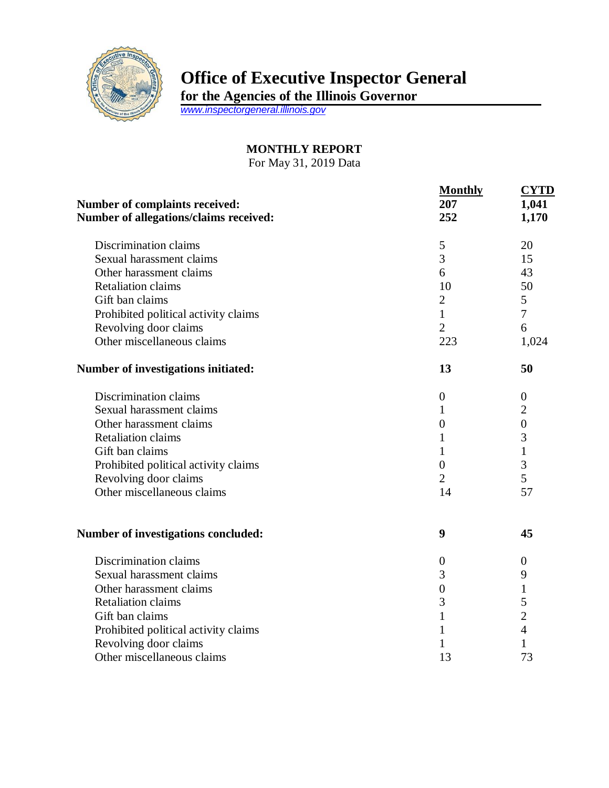

## **Office of Executive Inspector General**

**for the Agencies of the Illinois Governor**

*[www.inspectorgeneral.illinois.gov](http://www.inspectorgeneral.illinois.gov/)*

## **MONTHLY REPORT**

For May 31, 2019 Data

| <b>Number of complaints received:</b><br>Number of allegations/claims received: | <b>Monthly</b><br>207<br>252 | <b>CYTD</b><br>1,041<br>1,170 |
|---------------------------------------------------------------------------------|------------------------------|-------------------------------|
| Discrimination claims                                                           | 5                            | 20                            |
| Sexual harassment claims                                                        | 3                            | 15                            |
| Other harassment claims                                                         | 6                            | 43                            |
| <b>Retaliation claims</b>                                                       | 10                           | 50                            |
| Gift ban claims                                                                 | $\mathbf{2}$                 | 5                             |
| Prohibited political activity claims                                            | $\mathbf{1}$                 | 7                             |
| Revolving door claims                                                           | $\overline{2}$               | 6                             |
| Other miscellaneous claims                                                      | 223                          | 1,024                         |
| Number of investigations initiated:                                             | 13                           | 50                            |
| Discrimination claims                                                           | $\boldsymbol{0}$             | $\boldsymbol{0}$              |
| Sexual harassment claims                                                        | 1                            | $\overline{2}$                |
| Other harassment claims                                                         | $\overline{0}$               | $\overline{0}$                |
| <b>Retaliation claims</b>                                                       | 1                            | 3                             |
| Gift ban claims                                                                 | 1                            | $\mathbf{1}$                  |
| Prohibited political activity claims                                            | $\overline{0}$               | 3                             |
| Revolving door claims                                                           | $\overline{2}$               | 5                             |
| Other miscellaneous claims                                                      | 14                           | 57                            |
| Number of investigations concluded:                                             | 9                            | 45                            |
| Discrimination claims                                                           | $\overline{0}$               | $\overline{0}$                |
| Sexual harassment claims                                                        | 3                            | 9                             |
| Other harassment claims                                                         | $\overline{0}$               | 1                             |
| <b>Retaliation claims</b>                                                       | 3                            | 5                             |
| Gift ban claims                                                                 | $\mathbf{1}$                 | $\overline{2}$                |
| Prohibited political activity claims                                            | 1                            | $\overline{4}$                |
| Revolving door claims                                                           | 1                            | 1                             |
| Other miscellaneous claims                                                      | 13                           | 73                            |
|                                                                                 |                              |                               |